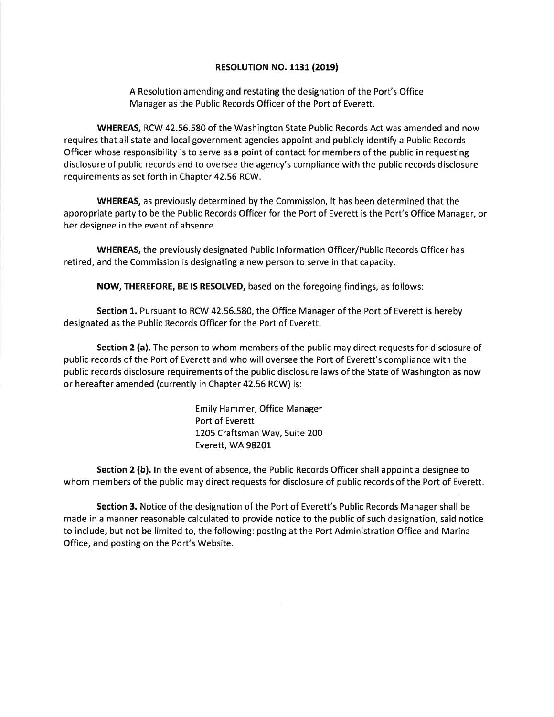## **RESOLUTION NO. 1131 (2019)**

A Resolution amending and restating the designation of the Port's Office Manager as the Public Records Officer of the Port of Everett.

WHEREAS, RCW 42.56.580 of the Washington State Public Records Act was amended and now requires that all state and local government agencies appoint and publicly identify a Public Records Officer whose responsibility is to serve as a point of contact for members of the public in requesting disclosure of public records and to oversee the agency's compliance with the public records disclosure requirements as set forth in Chapter 42.56 RCW.

WHEREAS, as previously determined by the Commission, it has been determined that the appropriate party to be the Public Records Officer for the Port of Everett is the Port's Office Manager, or her designee in the event of absence.

WHEREAS, the previously designated Public lnformation Officer/Public Records Officer has retired, and the Commission is designating a new person to serve in that capacity.

NOW, THEREFORE, BE lS RESOLVED, based on the foregoing findings, as follows:

Section 1. Pursuant to RCW 42.56.580, the Office Manager of the Port of Everett is hereby designated as the Public Records Officer for the Port of Everett.

Section 2 (a). The person to whom members of the public may direct requests for disclosure of public records of the Port of Everett and who will oversee the Port of Everett's compliance with the public records disclosure requirements of the public disclosure laws of the State of Washington as now or hereafter amended (currently in Chapter 42.56 RCW) is:

> Emily Hammer, Office Manager Port of Everett 1205 Craftsman Way, Suite 200 Everett, WA 98201-

Section 2 (b). In the event of absence, the Public Records Officer shall appoint a designee to whom members of the public may direct requests for disclosure of public records of the Port of Everett.

Section 3. Notice of the designation of the Port of Everett's Public Records Manager shall be made in a manner reasonable calculated to provide notice to the public of such designation, said notice to include, but not be limited to, the following: posting at the Port Administration Office and Marina Office, and posting on the Port's Website.